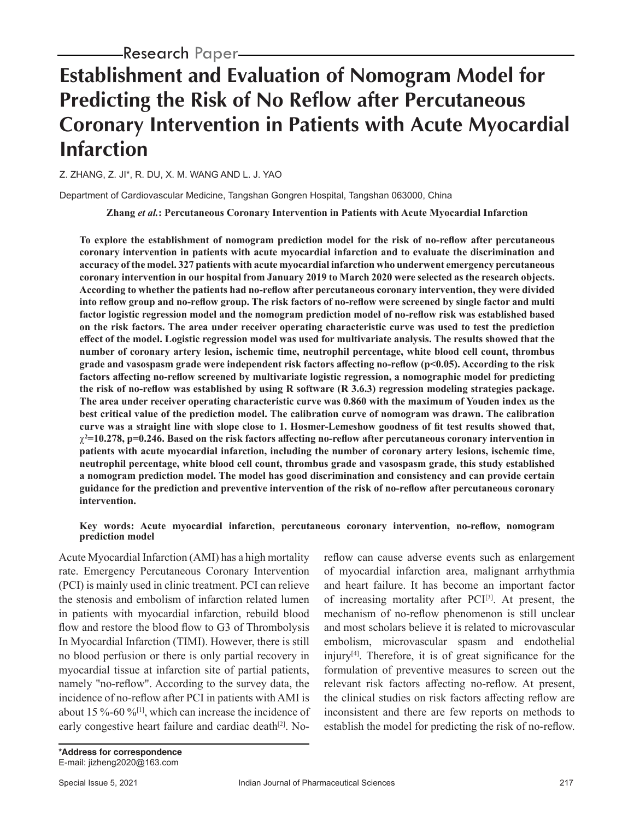# **Establishment and Evaluation of Nomogram Model for Predicting the Risk of No Reflow after Percutaneous Coronary Intervention in Patients with Acute Myocardial Infarction**

Z. ZHANG, Z. JI\*, R. DU, X. M. WANG AND L. J. YAO

Department of Cardiovascular Medicine, Tangshan Gongren Hospital, Tangshan 063000, China

**Zhang** *et al.***: Percutaneous Coronary Intervention in Patients with Acute Myocardial Infarction**

**To explore the establishment of nomogram prediction model for the risk of no-reflow after percutaneous coronary intervention in patients with acute myocardial infarction and to evaluate the discrimination and accuracy of the model. 327 patients with acute myocardial infarction who underwent emergency percutaneous coronary intervention in our hospital from January 2019 to March 2020 were selected as the research objects. According to whether the patients had no-reflow after percutaneous coronary intervention, they were divided into reflow group and no-reflow group. The risk factors of no-reflow were screened by single factor and multi factor logistic regression model and the nomogram prediction model of no-reflow risk was established based on the risk factors. The area under receiver operating characteristic curve was used to test the prediction effect of the model. Logistic regression model was used for multivariate analysis. The results showed that the number of coronary artery lesion, ischemic time, neutrophil percentage, white blood cell count, thrombus grade and vasospasm grade were independent risk factors affecting no-reflow (p<0.05). According to the risk factors affecting no-reflow screened by multivariate logistic regression, a nomographic model for predicting the risk of no-reflow was established by using R software (R 3.6.3) regression modeling strategies package. The area under receiver operating characteristic curve was 0.860 with the maximum of Youden index as the best critical value of the prediction model. The calibration curve of nomogram was drawn. The calibration curve was a straight line with slope close to 1. Hosmer-Lemeshow goodness of fit test results showed that, 2 =10.278, p=0.246. Based on the risk factors affecting no-reflow after percutaneous coronary intervention in patients with acute myocardial infarction, including the number of coronary artery lesions, ischemic time, neutrophil percentage, white blood cell count, thrombus grade and vasospasm grade, this study established a nomogram prediction model. The model has good discrimination and consistency and can provide certain guidance for the prediction and preventive intervention of the risk of no-reflow after percutaneous coronary intervention.**

#### **Key words: Acute myocardial infarction, percutaneous coronary intervention, no-reflow, nomogram prediction model**

Acute Myocardial Infarction (AMI) has a high mortality rate. Emergency Percutaneous Coronary Intervention (PCI) is mainly used in clinic treatment. PCI can relieve the stenosis and embolism of infarction related lumen in patients with myocardial infarction, rebuild blood flow and restore the blood flow to G3 of Thrombolysis In Myocardial Infarction (TIMI). However, there is still no blood perfusion or there is only partial recovery in myocardial tissue at infarction site of partial patients, namely "no-reflow". According to the survey data, the incidence of no-reflow after PCI in patients with AMI is about 15 %-60 %[1], which can increase the incidence of early congestive heart failure and cardiac death $[2]$ . Noreflow can cause adverse events such as enlargement of myocardial infarction area, malignant arrhythmia and heart failure. It has become an important factor of increasing mortality after  $PCI^{[3]}$ . At present, the mechanism of no-reflow phenomenon is still unclear and most scholars believe it is related to microvascular embolism, microvascular spasm and endothelial injury $[4]$ . Therefore, it is of great significance for the formulation of preventive measures to screen out the relevant risk factors affecting no-reflow. At present, the clinical studies on risk factors affecting reflow are inconsistent and there are few reports on methods to establish the model for predicting the risk of no-reflow.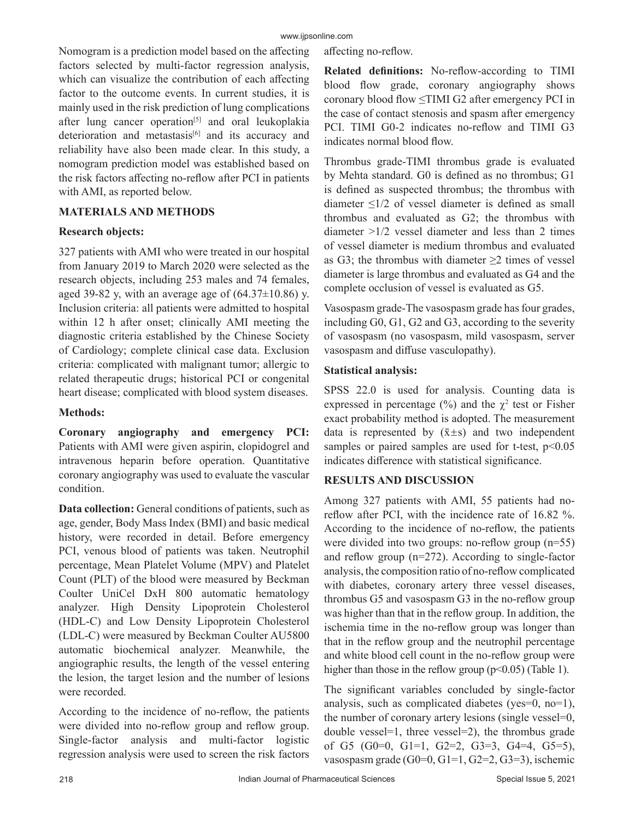Nomogram is a prediction model based on the affecting factors selected by multi-factor regression analysis, which can visualize the contribution of each affecting factor to the outcome events. In current studies, it is mainly used in the risk prediction of lung complications after lung cancer operation<sup>[5]</sup> and oral leukoplakia deterioration and metastasis $[6]$  and its accuracy and reliability have also been made clear. In this study, a nomogram prediction model was established based on the risk factors affecting no-reflow after PCI in patients with AMI, as reported below.

## **MATERIALS AND METHODS**

## **Research objects:**

327 patients with AMI who were treated in our hospital from January 2019 to March 2020 were selected as the research objects, including 253 males and 74 females, aged 39-82 y, with an average age of  $(64.37\pm10.86)$  y. Inclusion criteria: all patients were admitted to hospital within 12 h after onset; clinically AMI meeting the diagnostic criteria established by the Chinese Society of Cardiology; complete clinical case data. Exclusion criteria: complicated with malignant tumor; allergic to related therapeutic drugs; historical PCI or congenital heart disease; complicated with blood system diseases.

## **Methods:**

**Coronary angiography and emergency PCI:** Patients with AMI were given aspirin, clopidogrel and intravenous heparin before operation. Quantitative coronary angiography was used to evaluate the vascular condition.

**Data collection:** General conditions of patients, such as age, gender, Body Mass Index (BMI) and basic medical history, were recorded in detail. Before emergency PCI, venous blood of patients was taken. Neutrophil percentage, Mean Platelet Volume (MPV) and Platelet Count (PLT) of the blood were measured by Beckman Coulter UniCel DxH 800 automatic hematology analyzer. High Density Lipoprotein Cholesterol (HDL-C) and Low Density Lipoprotein Cholesterol (LDL-C) were measured by Beckman Coulter AU5800 automatic biochemical analyzer. Meanwhile, the angiographic results, the length of the vessel entering the lesion, the target lesion and the number of lesions were recorded.

According to the incidence of no-reflow, the patients were divided into no-reflow group and reflow group. Single-factor analysis and multi-factor logistic regression analysis were used to screen the risk factors affecting no-reflow.

**Related definitions:** No-reflow-according to TIMI blood flow grade, coronary angiography shows coronary blood flow ≤TIMI G2 after emergency PCI in the case of contact stenosis and spasm after emergency PCI. TIMI G0-2 indicates no-reflow and TIMI G3 indicates normal blood flow.

Thrombus grade-TIMI thrombus grade is evaluated by Mehta standard. G0 is defined as no thrombus; G1 is defined as suspected thrombus; the thrombus with diameter  $\leq$ 1/2 of vessel diameter is defined as small thrombus and evaluated as G2; the thrombus with diameter >1/2 vessel diameter and less than 2 times of vessel diameter is medium thrombus and evaluated as G3; the thrombus with diameter  $\geq 2$  times of vessel diameter is large thrombus and evaluated as G4 and the complete occlusion of vessel is evaluated as G5.

Vasospasm grade-The vasospasm grade has four grades, including G0, G1, G2 and G3, according to the severity of vasospasm (no vasospasm, mild vasospasm, server vasospasm and diffuse vasculopathy).

## **Statistical analysis:**

SPSS 22.0 is used for analysis. Counting data is expressed in percentage  $(\frac{0}{0})$  and the  $\chi^2$  test or Fisher exact probability method is adopted. The measurement data is represented by  $(\bar{x} \pm s)$  and two independent samples or paired samples are used for t-test,  $p<0.05$ indicates difference with statistical significance.

## **RESULTS AND DISCUSSION**

Among 327 patients with AMI, 55 patients had noreflow after PCI, with the incidence rate of 16.82 %. According to the incidence of no-reflow, the patients were divided into two groups: no-reflow group (n=55) and reflow group (n=272). According to single-factor analysis, the composition ratio of no-reflow complicated with diabetes, coronary artery three vessel diseases, thrombus G5 and vasospasm G3 in the no-reflow group was higher than that in the reflow group. In addition, the ischemia time in the no-reflow group was longer than that in the reflow group and the neutrophil percentage and white blood cell count in the no-reflow group were higher than those in the reflow group  $(p<0.05)$  (Table 1).

The significant variables concluded by single-factor analysis, such as complicated diabetes (yes=0, no=1), the number of coronary artery lesions (single vessel=0, double vessel=1, three vessel=2), the thrombus grade of G5  $(G0=0, G1=1, G2=2, G3=3, G4=4, G5=5)$ , vasospasm grade (G0=0, G1=1, G2=2, G3=3), ischemic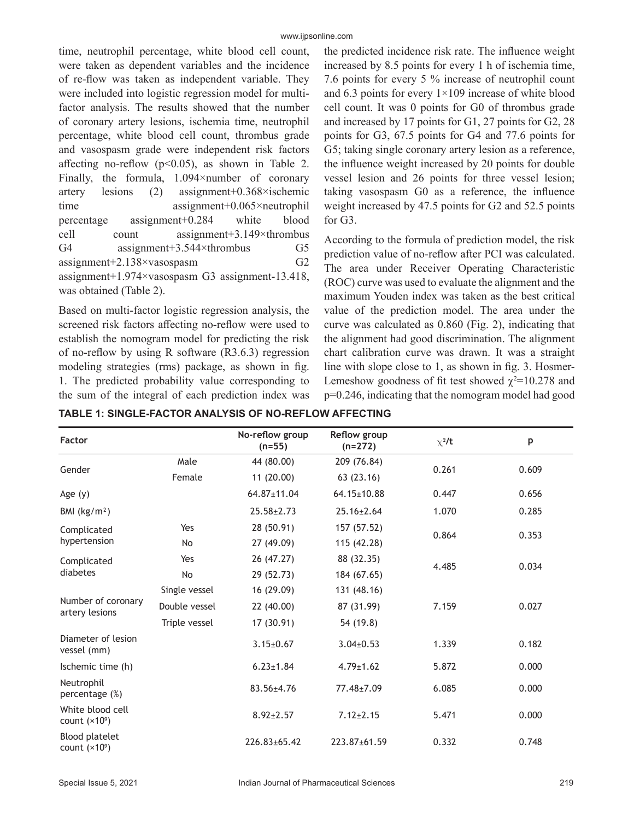time, neutrophil percentage, white blood cell count, were taken as dependent variables and the incidence of re-flow was taken as independent variable. They were included into logistic regression model for multifactor analysis. The results showed that the number of coronary artery lesions, ischemia time, neutrophil percentage, white blood cell count, thrombus grade and vasospasm grade were independent risk factors affecting no-reflow ( $p<0.05$ ), as shown in Table 2. Finally, the formula, 1.094×number of coronary artery lesions (2) assignment+0.368×ischemic time assignment+0.065×neutrophil percentage assignment+0.284 white blood cell count assignment+3.149×thrombus G4 assignment+3.544×thrombus G5 assignment+2.138×vasospasm G2 assignment+1.974×vasospasm G3 assignment-13.418, was obtained (Table 2).

Based on multi-factor logistic regression analysis, the screened risk factors affecting no-reflow were used to establish the nomogram model for predicting the risk of no-reflow by using R software (R3.6.3) regression modeling strategies (rms) package, as shown in fig. 1. The predicted probability value corresponding to the sum of the integral of each prediction index was the predicted incidence risk rate. The influence weight increased by 8.5 points for every 1 h of ischemia time, 7.6 points for every 5 % increase of neutrophil count and 6.3 points for every  $1 \times 109$  increase of white blood cell count. It was 0 points for G0 of thrombus grade and increased by 17 points for G1, 27 points for G2, 28 points for G3, 67.5 points for G4 and 77.6 points for G5; taking single coronary artery lesion as a reference, the influence weight increased by 20 points for double vessel lesion and 26 points for three vessel lesion; taking vasospasm G0 as a reference, the influence weight increased by 47.5 points for G2 and 52.5 points for G3.

According to the formula of prediction model, the risk prediction value of no-reflow after PCI was calculated. The area under Receiver Operating Characteristic (ROC) curve was used to evaluate the alignment and the maximum Youden index was taken as the best critical value of the prediction model. The area under the curve was calculated as 0.860 (Fig. 2), indicating that the alignment had good discrimination. The alignment chart calibration curve was drawn. It was a straight line with slope close to 1, as shown in fig. 3. Hosmer-Lemeshow goodness of fit test showed  $\chi^2$ =10.278 and p=0.246, indicating that the nomogram model had good

| Factor                                   |               | No-reflow group<br>$(n=55)$ | Reflow group<br>$(n=272)$ | $\chi^2/t$ | p     |
|------------------------------------------|---------------|-----------------------------|---------------------------|------------|-------|
|                                          | Male          | 44 (80.00)                  | 209 (76.84)               |            |       |
| Gender                                   | Female        | 11(20.00)<br>63 (23.16)     |                           | 0.261      | 0.609 |
| Age $(y)$                                |               |                             | $64.15 \pm 10.88$         | 0.447      | 0.656 |
| BMI $(kg/m2)$                            |               |                             | $25.16 \pm 2.64$          | 1.070      | 0.285 |
| Complicated<br>hypertension              | Yes           | 28 (50.91)                  | 157 (57.52)               |            |       |
|                                          | <b>No</b>     | 27 (49.09)                  | 115 (42.28)               | 0.864      | 0.353 |
| Complicated<br>diabetes                  | Yes           | 26 (47.27)                  | 88 (32.35)                |            |       |
|                                          | No            | 29 (52.73)                  | 184 (67.65)               | 4.485      | 0.034 |
| Number of coronary<br>artery lesions     | Single vessel | 16 (29.09)                  | 131 (48.16)               |            |       |
|                                          | Double vessel | 22 (40.00)                  | 87 (31.99)                | 7.159      | 0.027 |
|                                          | Triple vessel | 17(30.91)                   | 54 (19.8)                 |            |       |
| Diameter of lesion<br>vessel (mm)        |               | $3.15 \pm 0.67$             | $3.04 \pm 0.53$           | 1.339      | 0.182 |
| Ischemic time (h)                        |               | $6.23 \pm 1.84$             | $4.79 \pm 1.62$           | 5.872      | 0.000 |
| Neutrophil<br>percentage (%)             |               | 83.56±4.76                  | 77.48±7.09                | 6.085      | 0.000 |
| White blood cell<br>count $(x10^9)$      |               | $8.92 \pm 2.57$             | $7.12 \pm 2.15$           | 5.471      | 0.000 |
| <b>Blood platelet</b><br>count $(x10^9)$ |               | 226.83±65.42                | 223.87±61.59              | 0.332      | 0.748 |

**TABLE 1: SINGLE-FACTOR ANALYSIS OF NO-REFLOW AFFECTING**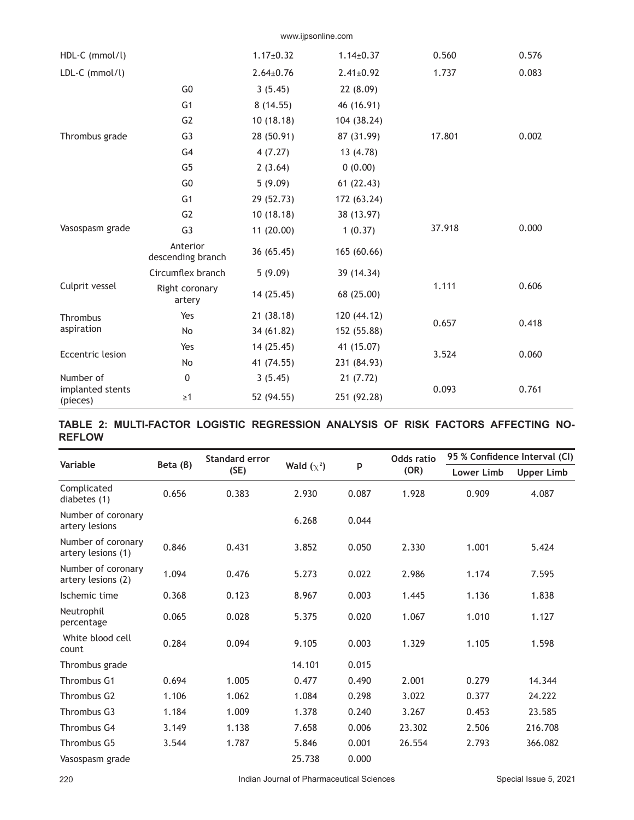|                                           |                               |                 | www.ijpsonline.com |        |       |
|-------------------------------------------|-------------------------------|-----------------|--------------------|--------|-------|
| HDL-C (mmol/l)                            |                               | $1.17 \pm 0.32$ | $1.14 \pm 0.37$    | 0.560  | 0.576 |
| LDL-C (mmol/l)                            |                               | $2.64 \pm 0.76$ | $2.41 \pm 0.92$    | 1.737  | 0.083 |
| Thrombus grade                            | G <sub>0</sub>                | 3(5.45)         | 22 (8.09)          |        |       |
|                                           | G <sub>1</sub>                | 8(14.55)        | 46 (16.91)         |        |       |
|                                           | G <sub>2</sub>                | 10(18.18)       | 104 (38.24)        |        |       |
|                                           | G <sub>3</sub>                | 28 (50.91)      | 87 (31.99)         | 17.801 | 0.002 |
|                                           | G <sub>4</sub>                | 4(7.27)         | 13 (4.78)          |        |       |
|                                           | G <sub>5</sub>                | 2(3.64)         | 0(0.00)            |        |       |
|                                           | G <sub>0</sub>                | 5(9.09)         | 61(22.43)          |        |       |
| Vasospasm grade                           | G <sub>1</sub>                | 29 (52.73)      | 172 (63.24)        |        |       |
|                                           | G <sub>2</sub>                | 10(18.18)       | 38 (13.97)         |        |       |
|                                           | G <sub>3</sub>                | 11 (20.00)      | 1(0.37)            | 37.918 | 0.000 |
|                                           | Anterior<br>descending branch | 36 (65.45)      | 165 (60.66)        |        |       |
|                                           | Circumflex branch             | 5(9.09)         | 39 (14.34)         |        |       |
| Culprit vessel                            | Right coronary<br>artery      | 14 (25.45)      | 68 (25.00)         | 1.111  | 0.606 |
| Thrombus<br>aspiration                    | Yes                           | 21 (38.18)      | 120 (44.12)        | 0.657  | 0.418 |
|                                           | No                            | 34 (61.82)      | 152 (55.88)        |        |       |
| Eccentric lesion                          | Yes                           | 14 (25.45)      | 41 (15.07)         | 3.524  | 0.060 |
|                                           | No                            | 41 (74.55)      | 231 (84.93)        |        |       |
| Number of<br>implanted stents<br>(pieces) | 0                             | 3(5.45)         | 21(7.72)           |        |       |
|                                           | $\geq$ 1                      | 52 (94.55)      | 251 (92.28)        | 0.093  | 0.761 |

## **TABLE 2: MULTI-FACTOR LOGISTIC REGRESSION ANALYSIS OF RISK FACTORS AFFECTING NO-REFLOW**

| Variable                                 | Beta (B) | Standard error<br>(SE) | Wald $(\chi^2)$ | p     | Odds ratio<br>(OR) | 95 % Confidence Interval (CI) |                   |
|------------------------------------------|----------|------------------------|-----------------|-------|--------------------|-------------------------------|-------------------|
|                                          |          |                        |                 |       |                    | <b>Lower Limb</b>             | <b>Upper Limb</b> |
| Complicated<br>diabetes (1)              | 0.656    | 0.383                  | 2.930           | 0.087 | 1.928              | 0.909                         | 4.087             |
| Number of coronary<br>artery lesions     |          |                        | 6.268           | 0.044 |                    |                               |                   |
| Number of coronary<br>artery lesions (1) | 0.846    | 0.431                  | 3.852           | 0.050 | 2.330              | 1.001                         | 5.424             |
| Number of coronary<br>artery lesions (2) | 1.094    | 0.476                  | 5.273           | 0.022 | 2.986              | 1.174                         | 7.595             |
| Ischemic time                            | 0.368    | 0.123                  | 8.967           | 0.003 | 1.445              | 1.136                         | 1.838             |
| Neutrophil<br>percentage                 | 0.065    | 0.028                  | 5.375           | 0.020 | 1.067              | 1.010                         | 1.127             |
| White blood cell<br>count                | 0.284    | 0.094                  | 9.105           | 0.003 | 1.329              | 1.105                         | 1.598             |
| Thrombus grade                           |          |                        | 14.101          | 0.015 |                    |                               |                   |
| Thrombus G1                              | 0.694    | 1.005                  | 0.477           | 0.490 | 2.001              | 0.279                         | 14.344            |
| Thrombus G <sub>2</sub>                  | 1.106    | 1.062                  | 1.084           | 0.298 | 3.022              | 0.377                         | 24.222            |
| Thrombus G3                              | 1.184    | 1.009                  | 1.378           | 0.240 | 3.267              | 0.453                         | 23.585            |
| Thrombus G4                              | 3.149    | 1.138                  | 7.658           | 0.006 | 23.302             | 2.506                         | 216.708           |
| Thrombus G5                              | 3.544    | 1.787                  | 5.846           | 0.001 | 26.554             | 2.793                         | 366.082           |
| Vasospasm grade                          |          |                        | 25.738          | 0.000 |                    |                               |                   |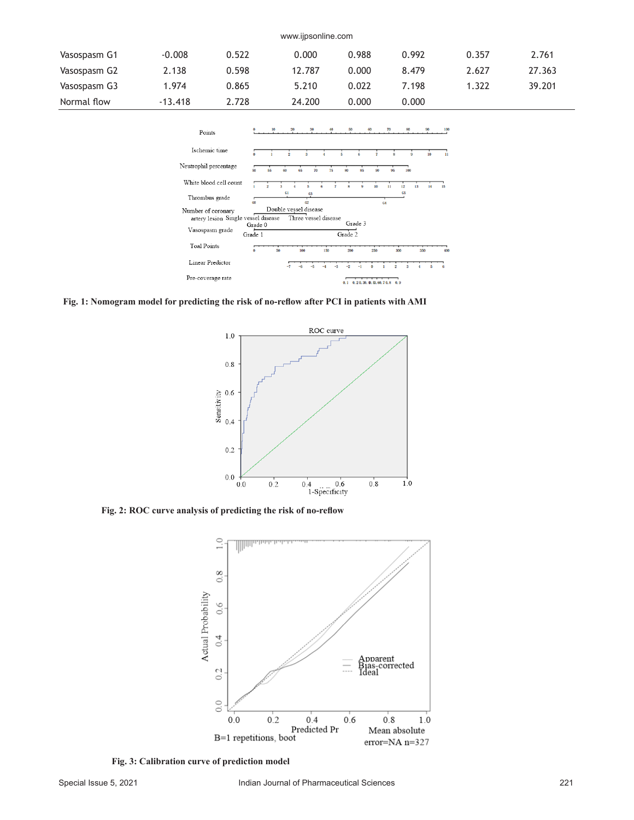| www.ijpsonline.com |           |       |        |       |       |       |        |
|--------------------|-----------|-------|--------|-------|-------|-------|--------|
| Vasospasm G1       | $-0.008$  | 0.522 | 0.000  | 0.988 | 0.992 | 0.357 | 2.761  |
| Vasospasm G2       | 2.138     | 0.598 | 12.787 | 0.000 | 8.479 | 2.627 | 27.363 |
| Vasospasm G3       | 1.974     | 0.865 | 5.210  | 0.022 | 7.198 | 1.322 | 39.201 |
| Normal flow        | $-13.418$ | 2.728 | 24.200 | 0.000 | 0.000 |       |        |



**Fig. 1: Nomogram model for predicting the risk of no-reflow after PCI in patients with AMI**



**Fig. 2: ROC curve analysis of predicting the risk of no-reflow**



**Fig. 3: Calibration curve of prediction model**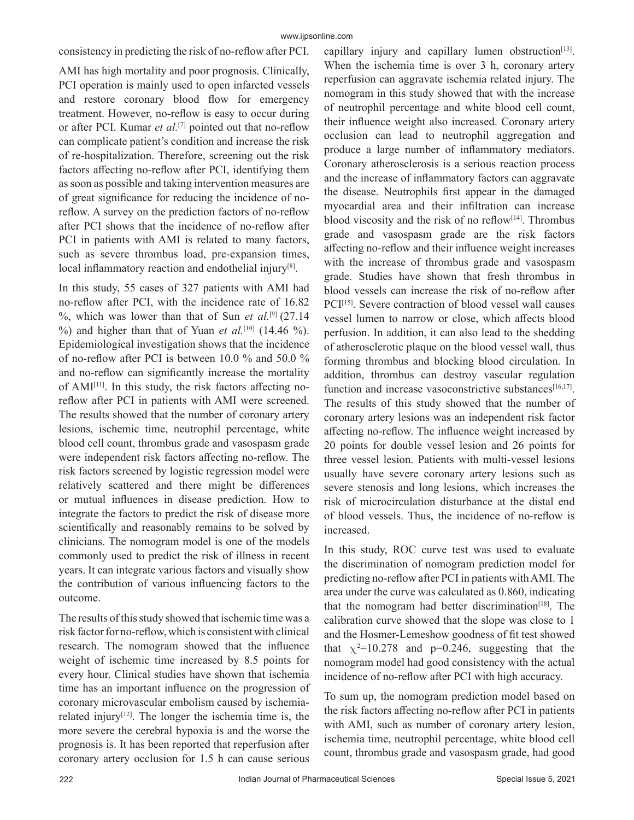## consistency in predicting the risk of no-reflow after PCI.

AMI has high mortality and poor prognosis. Clinically, PCI operation is mainly used to open infarcted vessels and restore coronary blood flow for emergency treatment. However, no-reflow is easy to occur during or after PCI. Kumar *et al.*[7] pointed out that no-reflow can complicate patient's condition and increase the risk of re-hospitalization. Therefore, screening out the risk factors affecting no-reflow after PCI, identifying them as soon as possible and taking intervention measures are of great significance for reducing the incidence of noreflow. A survey on the prediction factors of no-reflow after PCI shows that the incidence of no-reflow after PCI in patients with AMI is related to many factors, such as severe thrombus load, pre-expansion times, local inflammatory reaction and endothelial injury<sup>[8]</sup>.

In this study, 55 cases of 327 patients with AMI had no-reflow after PCI, with the incidence rate of 16.82 %, which was lower than that of Sun et al.<sup>[9]</sup> (27.14 %) and higher than that of Yuan et al.<sup>[10]</sup> (14.46 %). Epidemiological investigation shows that the incidence of no-reflow after PCI is between 10.0 % and 50.0 % and no-reflow can significantly increase the mortality of AMI[11]. In this study, the risk factors affecting noreflow after PCI in patients with AMI were screened. The results showed that the number of coronary artery lesions, ischemic time, neutrophil percentage, white blood cell count, thrombus grade and vasospasm grade were independent risk factors affecting no-reflow. The risk factors screened by logistic regression model were relatively scattered and there might be differences or mutual influences in disease prediction. How to integrate the factors to predict the risk of disease more scientifically and reasonably remains to be solved by clinicians. The nomogram model is one of the models commonly used to predict the risk of illness in recent years. It can integrate various factors and visually show the contribution of various influencing factors to the outcome.

The results of this study showed that ischemic time was a risk factor for no-reflow, which is consistent with clinical research. The nomogram showed that the influence weight of ischemic time increased by 8.5 points for every hour. Clinical studies have shown that ischemia time has an important influence on the progression of coronary microvascular embolism caused by ischemiarelated injury<sup>[12]</sup>. The longer the ischemia time is, the more severe the cerebral hypoxia is and the worse the prognosis is. It has been reported that reperfusion after coronary artery occlusion for 1.5 h can cause serious

capillary injury and capillary lumen obstruction $[13]$ . When the ischemia time is over 3 h, coronary artery reperfusion can aggravate ischemia related injury. The nomogram in this study showed that with the increase of neutrophil percentage and white blood cell count, their influence weight also increased. Coronary artery occlusion can lead to neutrophil aggregation and produce a large number of inflammatory mediators. Coronary atherosclerosis is a serious reaction process and the increase of inflammatory factors can aggravate the disease. Neutrophils first appear in the damaged myocardial area and their infiltration can increase blood viscosity and the risk of no reflow $[14]$ . Thrombus grade and vasospasm grade are the risk factors affecting no-reflow and their influence weight increases with the increase of thrombus grade and vasospasm grade. Studies have shown that fresh thrombus in blood vessels can increase the risk of no-reflow after PCI<sup>[15]</sup>. Severe contraction of blood vessel wall causes vessel lumen to narrow or close, which affects blood perfusion. In addition, it can also lead to the shedding of atherosclerotic plaque on the blood vessel wall, thus forming thrombus and blocking blood circulation. In addition, thrombus can destroy vascular regulation function and increase vasoconstrictive substances<sup>[16,17]</sup>. The results of this study showed that the number of coronary artery lesions was an independent risk factor affecting no-reflow. The influence weight increased by 20 points for double vessel lesion and 26 points for three vessel lesion. Patients with multi-vessel lesions usually have severe coronary artery lesions such as severe stenosis and long lesions, which increases the risk of microcirculation disturbance at the distal end of blood vessels. Thus, the incidence of no-reflow is increased.

In this study, ROC curve test was used to evaluate the discrimination of nomogram prediction model for predicting no-reflow after PCI in patients with AMI. The area under the curve was calculated as 0.860, indicating that the nomogram had better discrimination<sup>[18]</sup>. The calibration curve showed that the slope was close to 1 and the Hosmer-Lemeshow goodness of fit test showed that  $\chi^2$ =10.278 and p=0.246, suggesting that the nomogram model had good consistency with the actual incidence of no-reflow after PCI with high accuracy.

To sum up, the nomogram prediction model based on the risk factors affecting no-reflow after PCI in patients with AMI, such as number of coronary artery lesion, ischemia time, neutrophil percentage, white blood cell count, thrombus grade and vasospasm grade, had good